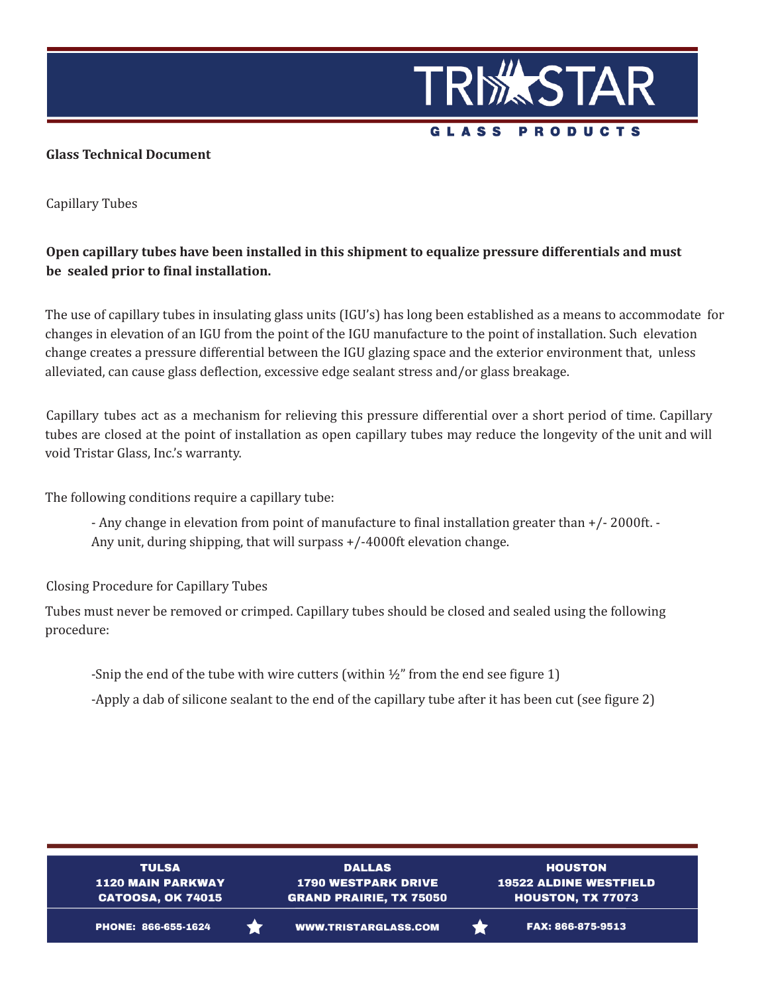

## **Glass Technical Document**

Capillary Tubes

## **Open capillary tubes have been installed in this shipment to equalize pressure differentials and must be sealed prior to final installation.**

The use of capillary tubes in insulating glass units (IGU's) has long been established as a means to accommodate for changes in elevation of an IGU from the point of the IGU manufacture to the point of installation. Such elevation change creates a pressure differential between the IGU glazing space and the exterior environment that, unless alleviated, can cause glass deflection, excessive edge sealant stress and/or glass breakage.

Capillary tubes act as a mechanism for relieving this pressure differential over a short period of time. Capillary tubes are closed at the point of installation as open capillary tubes may reduce the longevity of the unit and will void Tristar Glass, Inc.'s warranty.

The following conditions require a capillary tube:

- Any change in elevation from point of manufacture to final installation greater than +/- 2000ft. - Any unit, during shipping, that will surpass +/-4000ft elevation change.

Closing Procedure for Capillary Tubes

Tubes must never be removed or crimped. Capillary tubes should be closed and sealed using the following procedure:

-Snip the end of the tube with wire cutters (within  $\frac{1}{2}$ " from the end see figure 1)

-Apply a dab of silicone sealant to the end of the capillary tube after it has been cut (see figure 2)